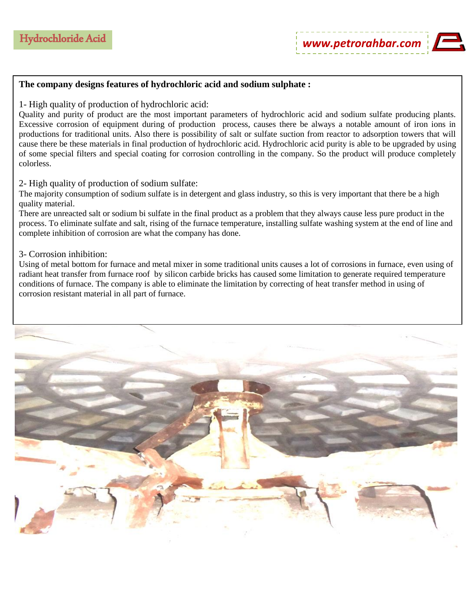## **The company designs features of hydrochloric acid and sodium sulphate :**

## 1- High quality of production of hydrochloric acid:

Quality and purity of product are the most important parameters of hydrochloric acid and sodium sulfate producing plants. Excessive corrosion of equipment during of production process, causes there be always a notable amount of iron ions in productions for traditional units. Also there is possibility of salt or sulfate suction from reactor to adsorption towers that will cause there be these materials in final production of hydrochloric acid. Hydrochloric acid purity is able to be upgraded by using of some special filters and special coating for corrosion controlling in the company. So the product will produce completely colorless.

## 2- High quality of production of sodium sulfate:

The majority consumption of sodium sulfate is in detergent and glass industry, so this is very important that there be a high quality material.

There are unreacted salt or sodium bi sulfate in the final product as a problem that they always cause less pure product in the process. To eliminate sulfate and salt, rising of the furnace temperature, installing sulfate washing system at the end of line and complete inhibition of corrosion are what the company has done.

## 3- Corrosion inhibition:

Using of metal bottom for furnace and metal mixer in some traditional units causes a lot of corrosions in furnace, even using of radiant heat transfer from furnace roof by silicon carbide bricks has caused some limitation to generate required temperature conditions of furnace. The company is able to eliminate the limitation by correcting of heat transfer method in using of corrosion resistant material in all part of furnace.